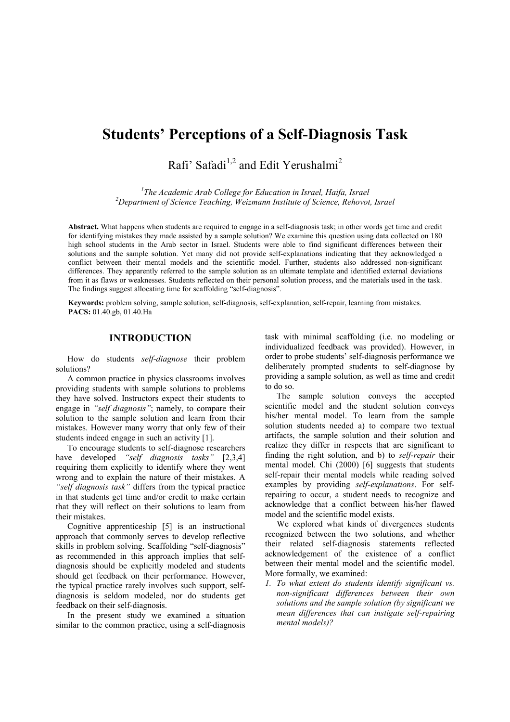# Students' Perceptions of a Self-Diagnosis Task

Rafi' Safadi<sup>1,2</sup> and Edit Yerushalmi<sup>2</sup>

<sup>1</sup>The Academic Arab College for Education in Israel, Haifa, Israel  $^{2}$ Department of Science Teaching, Weizmann Institute of Science, Rehovot, Israel

Abstract. What happens when students are required to engage in a self-diagnosis task; in other words get time and credit for identifying mistakes they made assisted by a sample solution? We examine this question using data collected on 180 high school students in the Arab sector in Israel. Students were able to find significant differences between their solutions and the sample solution. Yet many did not provide self-explanations indicating that they acknowledged a conflict between their mental models and the scientific model. Further, students also addressed non-significant differences. They apparently referred to the sample solution as an ultimate template and identified external deviations from it as flaws or weaknesses. Students reflected on their personal solution process, and the materials used in the task. The findings suggest allocating time for scaffolding "self-diagnosis".

Keywords: problem solving, sample solution, self-diagnosis, self-explanation, self-repair, learning from mistakes. PACS: 01.40.gb, 01.40.Ha

### **INTRODUCTION**

How do students self-diagnose their problem solutions?

A common practice in physics classrooms involves providing students with sample solutions to problems they have solved. Instructors expect their students to engage in "self diagnosis"; namely, to compare their solution to the sample solution and learn from their mistakes. However many worry that only few of their students indeed engage in such an activity [1].

To encourage students to self-diagnose researchers have developed "self diagnosis tasks" [2,3,4] requiring them explicitly to identify where they went wrong and to explain the nature of their mistakes. A "self diagnosis task" differs from the typical practice in that students get time and/or credit to make certain that they will reflect on their solutions to learn from their mistakes.

Cognitive apprenticeship [5] is an instructional approach that commonly serves to develop reflective skills in problem solving. Scaffolding "self-diagnosis" as recommended in this approach implies that selfdiagnosis should be explicitly modeled and students should get feedback on their performance. However, the typical practice rarely involves such support, selfdiagnosis is seldom modeled, nor do students get feedback on their self-diagnosis.

In the present study we examined a situation similar to the common practice, using a self-diagnosis

task with minimal scaffolding (i.e. no modeling or individualized feedback was provided). However, in order to probe students' self-diagnosis performance we deliberately prompted students to self-diagnose by providing a sample solution, as well as time and credit to do so.

The sample solution conveys the accepted scientific model and the student solution conveys his/her mental model. To learn from the sample solution students needed a) to compare two textual artifacts, the sample solution and their solution and realize they differ in respects that are significant to finding the right solution, and b) to self-repair their mental model. Chi (2000) [6] suggests that students self-repair their mental models while reading solved examples by providing self-explanations. For selfrepairing to occur, a student needs to recognize and acknowledge that a conflict between his/her flawed model and the scientific model exists.

We explored what kinds of divergences students recognized between the two solutions, and whether their related self-diagnosis statements reflected acknowledgement of the existence of a conflict between their mental model and the scientific model. More formally, we examined:

1. To what extent do students identify significant vs. non-significant differences between their own solutions and the sample solution (by significant we mean differences that can instigate self-repairing mental models)?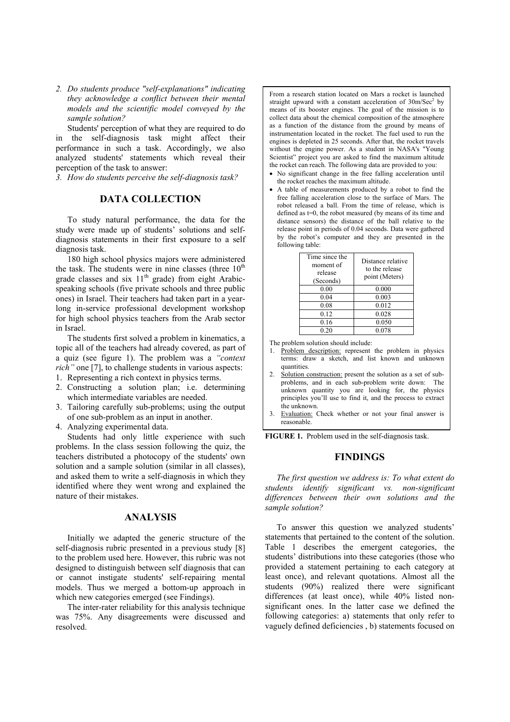2. Do students produce "self-explanations" indicating they acknowledge a conflict between their mental models and the scientific model conveyed by the sample solution?

Students' perception of what they are required to do in the self-diagnosis task might affect their performance in such a task. Accordingly, we also analyzed students' statements which reveal their perception of the task to answer:

3. How do students perceive the self-diagnosis task?

## **DATA COLLECTION**

To study natural performance, the data for the study were made up of students' solutions and selfdiagnosis statements in their first exposure to a self diagnosis task.

180 high school physics majors were administered the task. The students were in nine classes (three  $10<sup>th</sup>$ grade classes and six  $11<sup>th</sup>$  grade) from eight Arabicspeaking schools (five private schools and three public ones) in Israel. Their teachers had taken part in a yearlong in-service professional development workshop for high school physics teachers from the Arab sector in Israel.

The students first solved a problem in kinematics, a topic all of the teachers had already covered, as part of a quiz (see figure 1). The problem was a "context rich" one [7], to challenge students in various aspects:

- 1. Representing a rich context in physics terms.
- 2. Constructing a solution plan; i.e. determining which intermediate variables are needed.
- 3. Tailoring carefully sub-problems; using the output of one sub-problem as an input in another.
- 4. Analyzing experimental data.

Students had only little experience with such problems. In the class session following the quiz, the teachers distributed a photocopy of the students' own solution and a sample solution (similar in all classes), and asked them to write a self-diagnosis in which they identified where they went wrong and explained the nature of their mistakes.

#### **ANALYSIS**

Initially we adapted the generic structure of the self-diagnosis rubric presented in a previous study [8] to the problem used here. However, this rubric was not designed to distinguish between self diagnosis that can or cannot instigate students' self-repairing mental models. Thus we merged a bottom-up approach in which new categories emerged (see Findings).

The inter-rater reliability for this analysis technique was 75%. Any disagreements were discussed and resolved.

 as a function of the distance from the ground by means of From a research station located on Mars a rocket is launched straight upward with a constant acceleration of 30m/Sec<sup>2</sup> by means of its booster engines. The goal of the mission is to collect data about the chemical composition of the atmosphere instrumentation located in the rocket. The fuel used to run the engines is depleted in 25 seconds. After that, the rocket travels without the engine power. As a student in NASA's "Young Scientist" project you are asked to find the maximum altitude the rocket can reach. The following data are provided to you:

- No significant change in the free falling acceleration until the rocket reaches the maximum altitude.
- A table of measurements produced by a robot to find the free falling acceleration close to the surface of Mars. The robot released a ball. From the time of release, which is defined as t=0, the robot measured (by means of its time and distance sensors) the distance of the ball relative to the release point in periods of 0.04 seconds. Data were gathered by the robot's computer and they are presented in the following table:

| Time since the<br>moment of<br>release<br>(Seconds) | Distance relative<br>to the release<br>point (Meters) |
|-----------------------------------------------------|-------------------------------------------------------|
| 0.00                                                | 0.000                                                 |
| 0.04                                                | 0.003                                                 |
| 0.08                                                | 0.012                                                 |
| 0.12                                                | 0.028                                                 |
| 0.16                                                | 0.050                                                 |
| 0.20                                                | 0.078                                                 |

The problem solution should include:

- 1. Problem description: represent the problem in physics terms: draw a sketch, and list known and unknown quantities.
- Solution construction: present the solution as a set of subproblems, and in each sub-problem write down: The unknown quantity you are looking for, the physics principles you'll use to find it, and the process to extract the unknown.
- 3. Evaluation: Check whether or not your final answer is reasonable.

FIGURE 1. Problem used in the self-diagnosis task.

#### **FINDINGS**

The first question we address is: To what extent do students identify significant vs. non-significant differences between their own solutions and the sample solution?

To answer this question we analyzed students' statements that pertained to the content of the solution. Table 1 describes the emergent categories, the students' distributions into these categories (those who provided a statement pertaining to each category at least once), and relevant quotations. Almost all the students (90%) realized there were significant differences (at least once), while 40% listed nonsignificant ones. In the latter case we defined the following categories: a) statements that only refer to vaguely defined deficiencies , b) statements focused on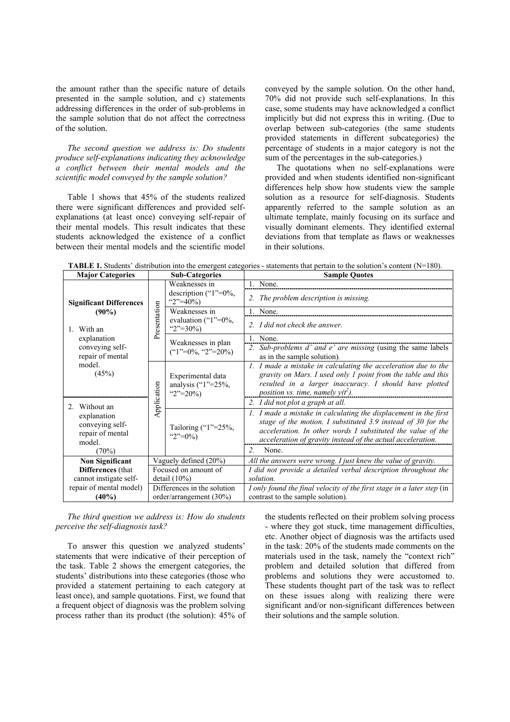the amount rather than the specific nature of details presented in the sample solution, and c) statements addressing differences in the order of sub-problems in the sample solution that do not affect the correctness of the solution.

The second question we address is: Do students produce self-explanations indicating they acknowledge a conflict between their mental models and the scientific model conveyed by the sample solution?

Table 1 shows that 45% of the students realized there were significant differences and provided selfexplanations (at least once) conveying self-repair of their mental models. This result indicates that these students acknowledged the existence of a conflict between their mental models and the scientific model

conveyed by the sample solution. On the other hand, 70% did not provide such self-explanations. In this case, some students may have acknowledged a conflict implicitly but did not express this in writing. (Due to overlap between sub-categories (the same students provided statements in different subcategories) the percentage of students in a major category is not the sum of the percentages in the sub-categories.)

The quotations when no self-explanations were provided and when students identified non-significant differences help show how students view the sample solution as a resource for self-diagnosis. Students apparently referred to the sample solution as an ultimate template, mainly focusing on its surface and visually dominant elements. They identified external deviations from that template as flaws or weaknesses in their solutions.

TABLE 1. Students' distribution into the emergent categories - statements that pertain to the solution's content (N=180).

| <b>Major Categories</b>                                                                                                                                                                 | <b>Sub-Categories</b> |                                                          | <b>EXDLE 1.</b> Stadents Alstribution line the emergent categories - statements that pertain to the solution 5 content (10–160).<br><b>Sample Quotes</b>                                                                                                       |
|-----------------------------------------------------------------------------------------------------------------------------------------------------------------------------------------|-----------------------|----------------------------------------------------------|----------------------------------------------------------------------------------------------------------------------------------------------------------------------------------------------------------------------------------------------------------------|
| <b>Significant Differences</b><br>$(90\%)$<br>1. With an<br>explanation<br>conveying self-<br>repair of mental<br>model.<br>(45%)                                                       | Presentation          | Weaknesses in<br>description $("1"=0\%,$<br>" $2$ "=40%) | 1. None.<br>2. The problem description is missing.                                                                                                                                                                                                             |
|                                                                                                                                                                                         |                       | Weaknesses in<br>evaluation (" $1$ "=0%,<br>" $2$ "=30%) | 1. None.<br>2. I did not check the answer.                                                                                                                                                                                                                     |
|                                                                                                                                                                                         |                       | Weaknesses in plan<br>$("1"=0\%, "2"=20\%)$              | 1. None.<br>2. Sub-problems d' and e' are missing (using the same labels<br>as in the sample solution).                                                                                                                                                        |
|                                                                                                                                                                                         | Application           | Experimental data<br>analysis ("1"=25%,<br>"2"=20%)      | 1. I made a mistake in calculating the acceleration due to the<br>gravity on Mars. I used only 1 point from the table and this<br>resulted in a larger inaccuracy. I should have plotted<br>position vs. time, namely $y(t^2)$ .                               |
| Without an<br>$\mathfrak{2}_{\cdot}$<br>explanation<br>conveying self-<br>repair of mental<br>model.                                                                                    |                       |                                                          | 2. I did not plot a graph at all.                                                                                                                                                                                                                              |
|                                                                                                                                                                                         |                       | Tailoring $("1"=25\%,$<br>" $2"=0\%$ )                   | 1. I made a mistake in calculating the displacement in the first<br>stage of the motion. I substituted 3.9 instead of 30 for the<br>acceleration. In other words I substituted the value of the<br>acceleration of gravity instead of the actual acceleration. |
| (70%)                                                                                                                                                                                   |                       |                                                          | None.<br>$\overline{2}$ .                                                                                                                                                                                                                                      |
| <b>Non Significant</b>                                                                                                                                                                  |                       | Vaguely defined (20%)                                    | All the answers were wrong. I just knew the value of gravity.                                                                                                                                                                                                  |
| Differences (that<br>Focused on amount of<br>cannot instigate self-<br>detail $(10\%)$<br>repair of mental model)<br>Differences in the solution<br>$(40\%)$<br>order/arrangement (30%) |                       |                                                          | I did not provide a detailed verbal description throughout the<br>solution.                                                                                                                                                                                    |
|                                                                                                                                                                                         |                       |                                                          | I only found the final velocity of the first stage in a later step (in<br>contrast to the sample solution).                                                                                                                                                    |

The third question we address is: How do students perceive the self-diagnosis task?

To answer this question we analyzed students' statements that were indicative of their perception of the task. Table 2 shows the emergent categories, the students' distributions into these categories (those who provided a statement pertaining to each category at least once), and sample quotations. First, we found that a frequent object of diagnosis was the problem solving process rather than its product (the solution): 45% of

the students reflected on their problem solving process - where they got stuck, time management difficulties, etc. Another object of diagnosis was the artifacts used in the task: 20% of the students made comments on the materials used in the task, namely the "context rich" problem and detailed solution that differed from problems and solutions they were accustomed to. These students thought part of the task was to reflect on these issues along with realizing there were significant and/or non-significant differences between their solutions and the sample solution.